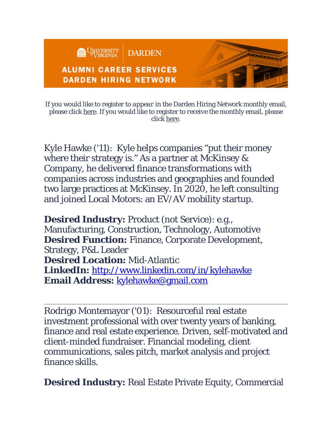

If you would like to register to *appear* in the Darden Hiring Network monthly email, please click [here.](https://darden.imodules.com/s/1535/19/form.aspx?sid=1535&gid=9&pgid=19212&cid=33001&utm_source=acs&utm_medium=email&utm_campaign=JanDHNSeekers) If you would like to register to *receive* the monthly email, please click [here.](https://darden.imodules.com/s/1535/19/form.aspx?sid=1535&gid=9&pgid=19220&cid=33011&utm_source=acs&utm_medium=email&utm_campaign=JanDHNSeekers)

Kyle Hawke ('11): Kyle helps companies "put their money where their strategy is." As a partner at McKinsey & Company, he delivered finance transformations with companies across industries and geographies and founded two large practices at McKinsey. In 2020, he left consulting and joined Local Motors: an EV/AV mobility startup.

**Desired Industry:** Product (not Service): e.g., Manufacturing, Construction, Technology, Automotive **Desired Function:** Finance, Corporate Development, Strategy, P&L Leader **Desired Location:** Mid-Atlantic **LinkedIn:** <http://www.linkedin.com/in/kylehawke> **Email Address:** [kylehawke@gmail.com](mailto:kylehawke@gmail.com)

Rodrigo Montemayor ('01): Resourceful real estate investment professional with over twenty years of banking, finance and real estate experience. Driven, self-motivated and client-minded fundraiser. Financial modeling, client communications, sales pitch, market analysis and project finance skills.

**Desired Industry:** Real Estate Private Equity, Commercial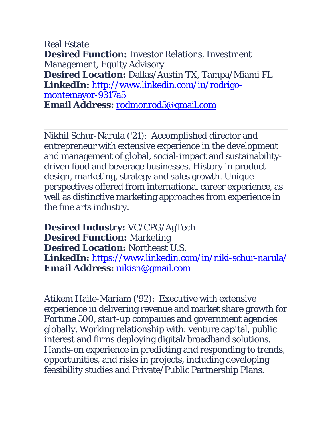Real Estate **Desired Function:** Investor Relations, Investment Management, Equity Advisory **Desired Location:** Dallas/Austin TX, Tampa/Miami FL **LinkedIn:** [http://www.linkedin.com/in/rodrigo](http://www.linkedin.com/in/rodrigo-montemayor-9317a5)[montemayor-9317a5](http://www.linkedin.com/in/rodrigo-montemayor-9317a5) **Email Address:** [rodmonrod5@gmail.com](mailto:rodmonrod5@gmail.com)

Nikhil Schur-Narula ('21): Accomplished director and entrepreneur with extensive experience in the development and management of global, social-impact and sustainabilitydriven food and beverage businesses. History in product design, marketing, strategy and sales growth. Unique perspectives offered from international career experience, as well as distinctive marketing approaches from experience in the fine arts industry.

**Desired Industry:** VC/CPG/AgTech **Desired Function:** Marketing **Desired Location:** Northeast U.S. **LinkedIn:** <https://www.linkedin.com/in/niki-schur-narula/> **Email Address:** [nikisn@gmail.com](mailto:nikisn@gmail.com)

Atikem Haile-Mariam ('92): Executive with extensive experience in delivering revenue and market share growth for Fortune 500, start-up companies and government agencies globally. Working relationship with: venture capital, public interest and firms deploying digital/broadband solutions. Hands-on experience in predicting and responding to trends, opportunities, and risks in projects, including developing feasibility studies and Private/Public Partnership Plans.